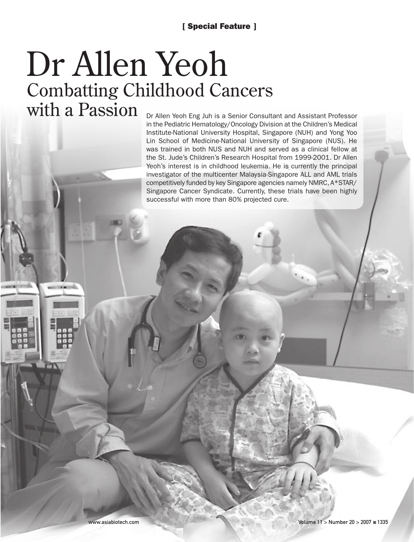# Combatting Childhood Cancers with a Passion Dr Allen Yeoh

Dr Allen Yeoh Eng Juh is a Senior Consultant and Assistant Professor in the Pediatric Hematology/Oncology Division at the Children's Medical Institute-National University Hospital, Singapore (NUH) and Yong Yoo Lin School of Medicine-National University of Singapore (NUS). He was trained in both NUS and NUH and served as a clinical fellow at the St. Jude's Children's Research Hospital from 1999-2001. Dr Allen Yeoh's interest is in childhood leukemia. He is currently the principal investigator of the multicenter Malaysia-Singapore ALL and AML trials competitively funded by key Singapore agencies namely NMRC, A\*STAR/ Singapore Cancer Syndicate. Currently, these trials have been highly successful with more than 80% projected cure.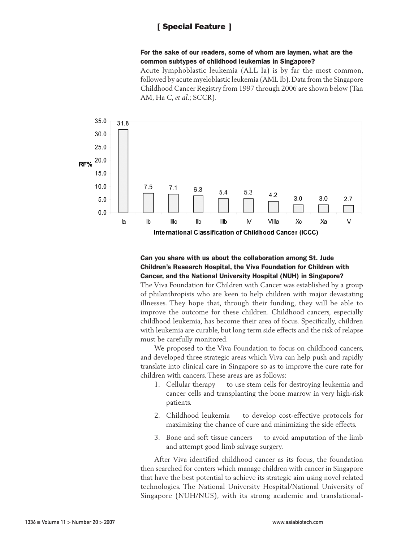### For the sake of our readers, some of whom are laymen, what are the common subtypes of childhood leukemias in Singapore?

Acute lymphoblastic leukemia (ALL Ia) is by far the most common, followed by acute myeloblastic leukemia (AML Ib). Data from the Singapore Childhood Cancer Registry from 1997 through 2006 are shown below (Tan AM, Ha C, *et al.*; SCCR).



## Can you share with us about the collaboration among St. Jude Children's Research Hospital, the Viva Foundation for Children with Cancer, and the National University Hospital (NUH) in Singapore?

The Viva Foundation for Children with Cancer was established by a group of philanthropists who are keen to help children with major devastating illnesses. They hope that, through their funding, they will be able to improve the outcome for these children. Childhood cancers, especially childhood leukemia, has become their area of focus. Specifically, children with leukemia are curable, but long term side effects and the risk of relapse must be carefully monitored.

We proposed to the Viva Foundation to focus on childhood cancers, and developed three strategic areas which Viva can help push and rapidly translate into clinical care in Singapore so as to improve the cure rate for children with cancers. These areas are as follows:

- 1. Cellular therapy to use stem cells for destroying leukemia and cancer cells and transplanting the bone marrow in very high-risk patients.
- 2. Childhood leukemia to develop cost-effective protocols for maximizing the chance of cure and minimizing the side effects.
- 3. Bone and soft tissue cancers to avoid amputation of the limb and attempt good limb salvage surgery.

After Viva identified childhood cancer as its focus, the foundation then searched for centers which manage children with cancer in Singapore that have the best potential to achieve its strategic aim using novel related technologies. The National University Hospital/National University of Singapore (NUH/NUS), with its strong academic and translational-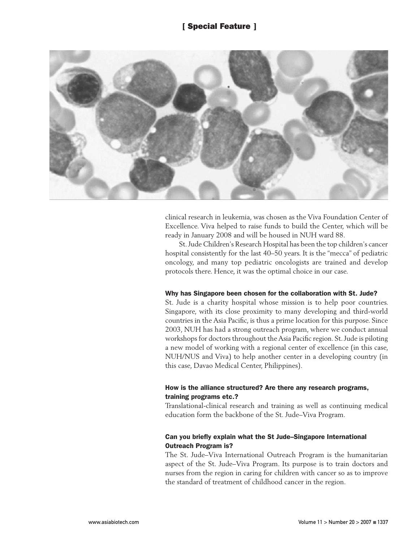

clinical research in leukemia, was chosen as the Viva Foundation Center of Excellence. Viva helped to raise funds to build the Center, which will be ready in January 2008 and will be housed in NUH ward 88.

St. Jude Children's Research Hospital has been the top children's cancer hospital consistently for the last 40–50 years. It is the "mecca" of pediatric oncology, and many top pediatric oncologists are trained and develop protocols there. Hence, it was the optimal choice in our case.

#### Why has Singapore been chosen for the collaboration with St. Jude?

St. Jude is a charity hospital whose mission is to help poor countries. Singapore, with its close proximity to many developing and third-world countries in the Asia Pacific, is thus a prime location for this purpose. Since 2003, NUH has had a strong outreach program, where we conduct annual workshops for doctors throughout the Asia Pacific region. St. Jude is piloting a new model of working with a regional center of excellence (in this case, NUH/NUS and Viva) to help another center in a developing country (in this case, Davao Medical Center, Philippines).

#### How is the alliance structured? Are there any research programs, training programs etc.?

Translational-clinical research and training as well as continuing medical education form the backbone of the St. Jude–Viva Program.

## Can you briefly explain what the St Jude–Singapore International Outreach Program is?

The St. Jude–Viva International Outreach Program is the humanitarian aspect of the St. Jude–Viva Program. Its purpose is to train doctors and nurses from the region in caring for children with cancer so as to improve the standard of treatment of childhood cancer in the region.